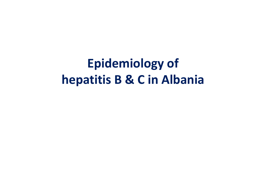**Epidemiology of hepatitis B & C in Albania**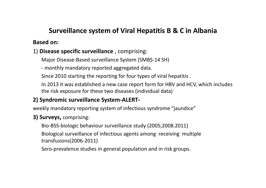### **Surveillance system of Viral Hepatitis B & C in Albania**

#### **Based on:**

#### 1) **Disease specific surveillance** , comprising:

Major Disease‐Based surveillance System (SMBS‐14 SH)

‐ monthly mandatory reported aggregated data.

Since 2010 starting the reporting for four types of viral hepatitis .

In 2013 it was established <sup>a</sup> new case report form for HBV and HCV, which includes the risk exposure for these two diseases (individual data)

#### **2) Syndromic surveillance System‐ALERT‐**

weekly mandatory reporting system of infectious syndrome "jaundice"

#### **3) Surveys,** comprising:

Bio‐BSS‐biologic behaviour surveillance study (2005,2008.2011)

Biological surveillance of infectious agents among receiving multiple transfusions(2006‐2011)

Sero‐prevalence studies in general population and in risk groups.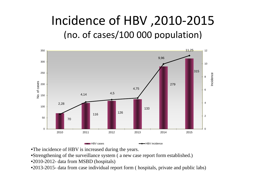## Incidence of HBV ,2010‐2015 (no. of cases/100 000 population)



- •The incidence of HBV is increased during the years.
- •Strengthening of the surveillance system ( a new case report form established.)
- •2010-2012- data from MSBD (hospitals)
- •2013-2015- data from case individual report form ( hospitals, private and public labs)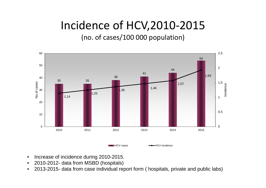## Incidence of HCV,2010‐2015

#### (no. of cases/100 000 population)



- •Increase of incidence during 2010-2015.
- $\bullet$ 2010-2012- data from MSBD (hospitals)
- $\bullet$ 2013-2015- data from case individual report form ( hospitals, private and public labs)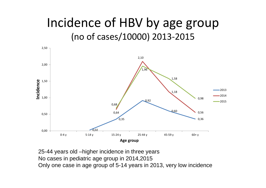## Incidence of HBV by age group (no of cases/10000) 2013‐2015



25-44 years old –higher incidence in three years No cases in pediatric age group in 2014,2015 Only one case in age group of 5-14 years in 2013, very low incidence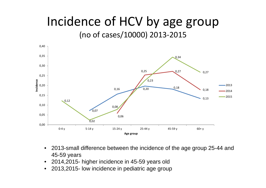### Incidence of HCV by age group (no of cases/10000) 2013‐2015



- $\bullet$  2013-small difference between the incidence of the age group 25-44 and 45-59 years
- $\bullet$ 2014,2015- higher incidence in 45-59 years old
- $\bullet$ 2013,2015- low incidence in pediatric age group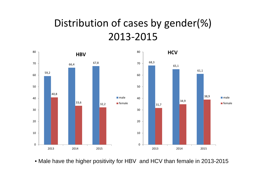### Distribution of cases by gender(%) 2013‐2015



• Male have the higher positivity for HBV and HCV than female in 2013-2015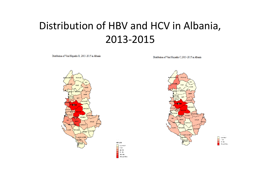### Distribution of HBV and HCV in Albania, 2013‐2015

Distribution of Viral Hepatitis B, 2013-2015 in Albania

Distribution of Viral Hepatitis C,2013-2015 in Albania





HBV 2016

Less than 1  $1 - 21$  $22 - 50$  $51 - 113$  $114 - 148$ 149, and More



Less than 1<br>1 - 14

 $15 - 32$ 

33, and More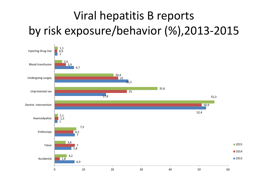# Viral hepatitis B reports by risk exposure/behavior (%),2013‐2015

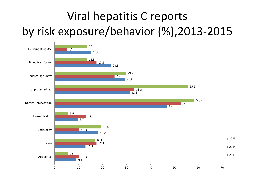# Viral hepatitis C reports by risk exposure/behavior (%),2013‐2015

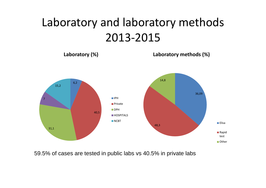## Laboratory and laboratory methods 2013‐2015



59.5% of cases are tested in public labs vs 40.5% in private labs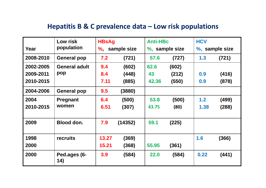### **Hepatitis B & C prevalence data – Low risk populations**

|           | Low risk             | <b>HBsAg</b>   |         | <b>Anti-HBc</b> |       | <b>HCV</b>     |       |
|-----------|----------------------|----------------|---------|-----------------|-------|----------------|-------|
| Year      | population           | %, sample size |         | %, sample size  |       | %, sample size |       |
| 2008-2010 | <b>General pop</b>   | 7.2            | (721)   | 57.6            | (727) | 1.3            | (721) |
| 2002-2005 | <b>General adult</b> | 9.4            | (602)   | 62.6            | (602) |                |       |
| 2009-2011 | pop                  | 8.4            | (448)   | 43              | (212) | 0.9            | (416) |
| 2010-2015 |                      | 7.11           | (885)   | 42.36           | (550) | 0.9            | (878) |
| 2004-2006 | <b>General pop</b>   | 9.5            | (3880)  |                 |       |                |       |
| 2004      | <b>Pregnant</b>      | 6.4            | (500)   | 53.8            | (500) | 1.2            | (499) |
| 2010-2015 | women                | 6.51           | (307)   | 43.75           | (80)  | 1.38           | (288) |
| 2009      | Blood don.           | 7.9            | (14352) | 59.1            | (225) |                |       |
| 1998      | recruits             | 13.27          | (369)   |                 |       | 1.6            | (366) |
| 2000      |                      | 15.21          | (368)   | 55.95           | (361) |                |       |
| 2000      | Ped.ages (6-<br>14)  | 3.9            | (584)   | 22.0            | (584) | 0.22           | (441) |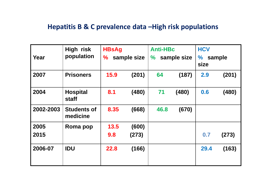### **Hepatitis B & C prevalence data –High risk populations**

| Year      | High risk<br>population         | <b>HBsAg</b><br>sample size<br>$\frac{1}{2}$ |       | <b>Anti-HBc</b><br>sample size<br>$\%$ |       | <b>HCV</b><br>$\frac{1}{2}$<br>sample |       |
|-----------|---------------------------------|----------------------------------------------|-------|----------------------------------------|-------|---------------------------------------|-------|
|           |                                 |                                              |       |                                        |       | size                                  |       |
| 2007      | <b>Prisoners</b>                | 15.9                                         | (201) | 64                                     | (187) | 2.9                                   | (201) |
| 2004      | <b>Hospital</b><br><b>staff</b> | 8.1                                          | (480) | 71                                     | (480) | 0.6                                   | (480) |
| 2002-2003 | <b>Students of</b><br>medicine  | 8.35                                         | (668) | 46.8                                   | (670) |                                       |       |
| 2005      | Roma pop                        | 13.5                                         | (600) |                                        |       |                                       |       |
| 2015      |                                 | 9.8                                          | (273) |                                        |       | 0.7                                   | (273) |
| 2006-07   | <b>IDU</b>                      | 22.8                                         | (166) |                                        |       | 29.4                                  | (163) |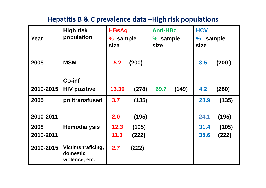### **Hepatitis B & C prevalence data –High risk populations**

| Year      | <b>High risk</b><br>population                          | <b>HBsAg</b><br>% sample<br>size |       | <b>Anti-HBc</b><br>% sample<br>size |       | <b>HCV</b><br>sample<br>$\%$<br>size |       |
|-----------|---------------------------------------------------------|----------------------------------|-------|-------------------------------------|-------|--------------------------------------|-------|
| 2008      | <b>MSM</b>                                              | 15.2                             | (200) |                                     |       | 3.5                                  | (200) |
|           | <b>Co-inf</b>                                           |                                  |       |                                     |       |                                      |       |
| 2010-2015 | <b>HIV pozitive</b>                                     | 13.30                            | (278) | 69.7                                | (149) | 4.2                                  | (280) |
| 2005      | politransfused                                          | 3.7                              | (135) |                                     |       | 28.9                                 | (135) |
| 2010-2011 |                                                         | 2.0                              | (195) |                                     |       | 24.1                                 | (195) |
| 2008      | <b>Hemodialysis</b>                                     | 12.3                             | (105) |                                     |       | 31.4                                 | (105) |
| 2010-2011 |                                                         | 11.3                             | (222) |                                     |       | 35.6                                 | (222) |
| 2010-2015 | <b>Victims traficing,</b><br>domestic<br>violence, etc. | 2.7                              | (222) |                                     |       |                                      |       |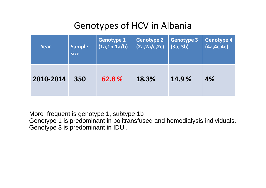### Genotypes of HCV in Albania

| Year      | <b>Sample</b> | <b>Genotype 1</b> | <b>Genotype 2</b> | <b>Genotype 3</b> | Genotype 4   |
|-----------|---------------|-------------------|-------------------|-------------------|--------------|
|           | size          | (1a, 1b, 1a/b)    | (2a, 2a/c, 2c)    | (3a, 3b)          | (4a, 4c, 4e) |
| 2010-2014 | 350           | 62.8%             | 18.3%             | 14.9%             | 4%           |

More frequent is genotype 1, subtype 1b

Genotype 1 is predominant in politransfused and hemodialysis individuals. Genotype 3 is predominant in IDU .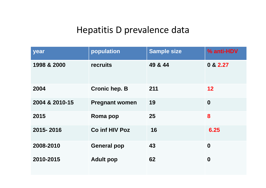### Hepatitis D prevalence data

| year           | population            | <b>Sample size</b> | % anti-HDV        |
|----------------|-----------------------|--------------------|-------------------|
| 1998 & 2000    | recruits              | 49 & 44            | 0 & 2.27          |
| 2004           | <b>Cronic hep. B</b>  | 211                | $12 \ \mathsf{ }$ |
| 2004 & 2010-15 | <b>Pregnant women</b> | 19                 | $\boldsymbol{0}$  |
| 2015           | Roma pop              | 25                 | 8                 |
| 2015-2016      | <b>Co inf HIV Poz</b> | 16                 | 6.25              |
| 2008-2010      | <b>General pop</b>    | 43                 | $\boldsymbol{0}$  |
| 2010-2015      | <b>Adult pop</b>      | 62                 | $\boldsymbol{0}$  |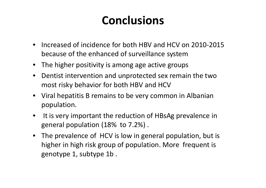## **Conclusions**

- Increased of incidence for both HBV and HCV on 2010‐2015 because of the enhanced of surveillance system
- The higher positivity is among age active groups
- $\bullet$  Dentist intervention and unprotected sex remain the two most risky behavior for both HBV and HCV
- Viral hepatitis B remains to be very common in Albanian population.
- $\bullet$ • It is very important the reduction of HBsAg prevalence in general population (18% to 7.2%) .
- The prevalence of HCV is low in general population, but is higher in high risk group of population. More frequent is genotype 1, subtype 1b .